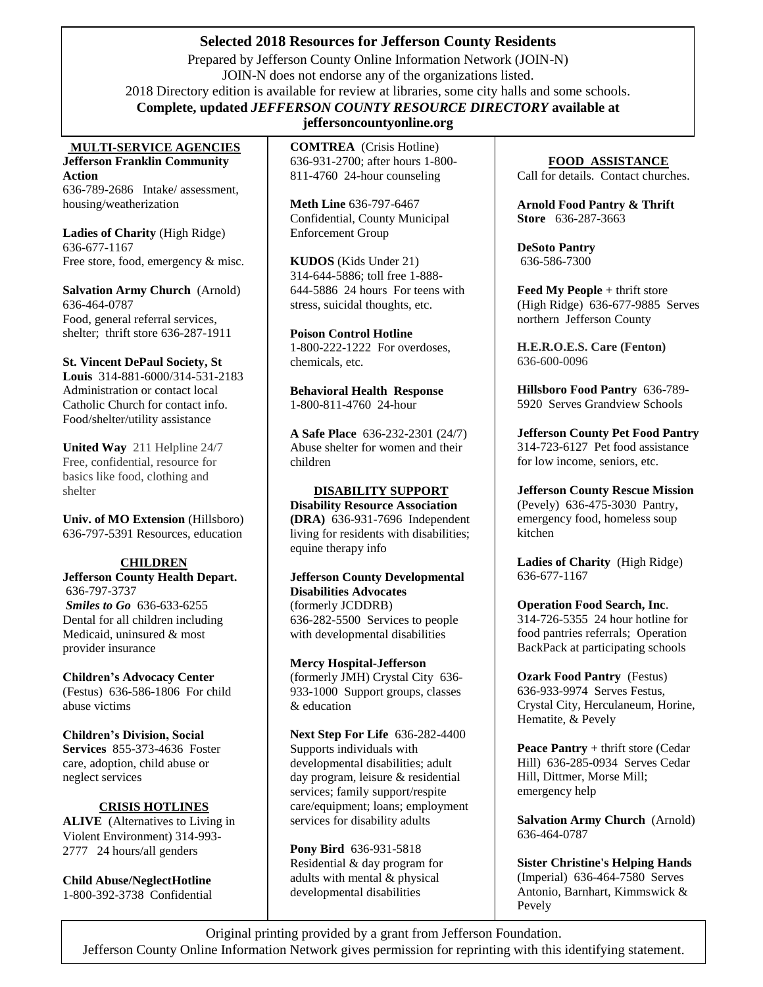# **Selected 2018 Resources for Jefferson County Residents**

. Prepared by Jeffer[son County Online Information Ne](http://www.svdpusa.org/)twork (JOIN-N) JOIN-N does not endorse any of the organizations listed. 2018 Directory edition is available for review at libraries, some city halls and some schools. **Complete, updated** *JEFFERSON COUNTY RESOURCE DIRECTORY* **available at** 

#### **MULTI-SERVICE AGENCIES Jefferson Franklin Community Action**

636-789-2686 Intake/ assessment, housing/weatherization

**Ladies of Charity** (High Ridge) 636-677-1167 Free store, food, emergency  $\&$  misc.

**Salvation Army Church** (Arnold) 636-464-0787 Food, general referral services, shelter; thrift store 636-287-1911

**St. Vincent DePaul Society, St Louis** 314-881-6000/314-531-2183 Administration or contact local Catholic Church for contact info. Food/shelter/utility assistance

**United Way** 211 Helpline 24/7 Free, confidential, resource for basics like food, clothing and shelter

**Univ. of MO Extension** (Hillsboro) 636-797-5391 Resources, education

#### **CHILDREN Jefferson County Health Depart.** 636-797-3737 *Smiles to Go* 636-633-6255 Dental for all children including Medicaid, uninsured & most provider insurance

**Children's Advocacy Center**  (Festus)636-586-1806 For child abuse victims

**Children's Division, Social Services** 855-373-4636 Foster care, adoption, child abuse or neglect services

### **CRISIS HOTLINES**

**ALIVE** (Alternatives to Living in Violent Environment) 314-993- 2777 24 hours/all genders

**Child Abuse/NeglectHotline** 1-800-392-3738 Confidential **jeffersoncountyonline.org**

**COMTREA** (Crisis Hotline) 636-931-2700; after hours 1-800- 811-4760 24-hour counseling

**Meth Line** 636-797-6467 Confidential, County Municipal Enforcement Group

**KUDOS** (Kids Under 21) 314-644-5886; toll free 1-888- 644-5886 24 hours For teens with stress, suicidal thoughts, etc.

**Poison Control Hotline** 1-800-222-1222 For overdoses, chemicals, etc.

**Behavioral Health Response** 1**-**800-811-4760 24-hour

**A Safe Place** 636-232-2301 (24/7) Abuse shelter for women and their children

## **DISABILITY SUPPORT**

**Disability Resource Association (DRA)** 636-931-7696 Independent living for residents with disabilities; equine therapy info

**Jefferson County Developmental Disabilities Advocates** (formerly JCDDRB) 636-282-5500 Services to people with developmental disabilities

**Mercy Hospital-Jefferson** (formerly JMH) Crystal City 636- 933-1000 Support groups, classes & education

**Next Step For Life** 636-282-4400 Supports individuals with developmental disabilities; adult day program, leisure & residential services; family support/respite care/equipment; loans; employment services for disability adults

**Pony Bird** 636-931-5818 Residential & day program for adults with mental & physical developmental disabilities

**FOOD ASSISTANCE** Call for details. Contact churches.

**Arnold Food Pantry & Thrift Store** 636-287-3663

**DeSoto Pantry** 636-586-7300

**Feed My People** + thrift store (High Ridge) 636-677-9885 Serves northern Jefferson County

**H.E.R.O.E.S. Care (Fenton)** 636-600-0096

**Hillsboro Food Pantry** 636-789- 5920 Serves Grandview Schools

**Jefferson County Pet Food Pantry** 314-723-6127 Pet food assistance for low income, seniors, etc.

**Jefferson County Rescue Mission** (Pevely) 636-475-3030 Pantry, emergency food, homeless soup kitchen

**Ladies of Charity** (High Ridge) 636-677-1167

**Operation Food Search, Inc**. 314-726-5355 24 hour hotline for food pantries referrals; Operation BackPack at participating schools

**Ozark Food Pantry** (Festus) 636-933-9974 Serves Festus, Crystal City, Herculaneum, Horine, Hematite, & Pevely

**Peace Pantry** + thrift store (Cedar Hill) 636-285-0934 Serves Cedar Hill, Dittmer, Morse Mill; emergency help

**Salvation Army Church** (Arnold) 636-464-0787

**Sister Christine's Helping Hands**  (Imperial) 636-464-7580 Serves Antonio, Barnhart, Kimmswick & Pevely

Original printing provided by a grant from Jefferson Foundation. Jefferson County Online Information Network gives permission for reprinting with this identifying statement.